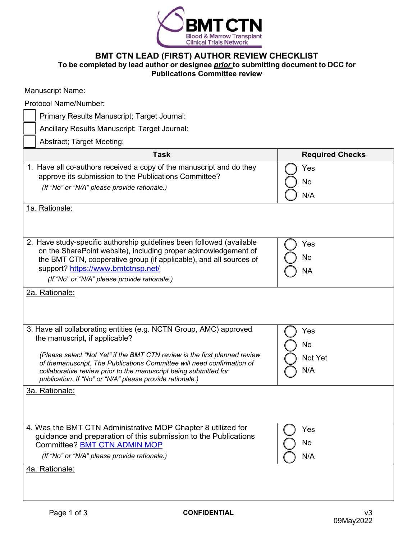

## **BMT CTN LEAD (FIRST) AUTHOR REVIEW CHECKLIST To be completed by lead author or designee** *prior* **to submitting document to DCC for Publications Committee review**

| Ancillary Results Manuscript; Target Journal:                                                                                                                                                                                                                                        |
|--------------------------------------------------------------------------------------------------------------------------------------------------------------------------------------------------------------------------------------------------------------------------------------|
| <b>Abstract</b> ; Target Meeting:                                                                                                                                                                                                                                                    |
| Task                                                                                                                                                                                                                                                                                 |
| Have all co-authors received a copy of the manuscript and do they<br>approve its submission to the Publications Committee?                                                                                                                                                           |
| (If "No" or "N/A" please provide rationale.)                                                                                                                                                                                                                                         |
| Rationale:                                                                                                                                                                                                                                                                           |
|                                                                                                                                                                                                                                                                                      |
| Have study-specific authorship guidelines been followed (available<br>on the SharePoint website), including proper acknowledgement of<br>the BMT CTN, cooperative group (if applicable), and all sources of<br>support? https://www.bmtctnsp.net/                                    |
| (If "No" or "N/A" please provide rationale.)                                                                                                                                                                                                                                         |
| Rationale:                                                                                                                                                                                                                                                                           |
| Have all collaborating entities (e.g. NCTN Group, AMC) approved<br>the manuscript, if applicable?                                                                                                                                                                                    |
| (Please select "Not Yet" if the BMT CTN review is the first planned review<br>of themanuscript. The Publications Committee will need confirmation of<br>collaborative review prior to the manuscript being submitted for<br>publication. If "No" or "N/A" please provide rationale.) |
| Rationale:                                                                                                                                                                                                                                                                           |
|                                                                                                                                                                                                                                                                                      |

1. Have all co-authors received a copy of the manuscript and do they Yes No N/A 1a. 2. Have study-specific authorship guidelines been followed (available Yes No NA 2a. 3. Have all collaborating entities (e.g. NCTN Group, AMC) approved the manuscript, if applicable? Yes No Not Yet N/A 3a. 4. Was the BMT CTN Administrative MOP Chapter 8 utilized for guidance and preparation of this submission to the Publications Committee? **BMT CTN [ADMIN MOP](https://nam02.safelinks.protection.outlook.com/?url=https%3A%2F%2Furldefense.proofpoint.com%2Fv2%2Furl%3Fu%3Dhttps-3A__web.emmes.com_study_bmt2_public_MOP_BMT-2520CTN-2520Administrative-2520MOP-2520v13.0.pdf%26d%3DDwMFAg%26c%3DC_O335FEx-vf3XHLXGN8TO1BAxpi8-UjLCbu_DQ0pZI%26r%3Dc1o-6t2VUh8LAMDogTPBfFeRN93pFLeqUISU2D1jJwg%26m%3DJ5dxzxNBcjw4_wbWfF7nstthkJiFDYe9MhqnfMuewgA%26s%3D6fTUarNAFTRRsNW6KV5kNV5G7YfVNmBsiu1bgVBZhCM%26e%3D&data=02%7C01%7Cjdworski%40NMDP.ORG%7C71673e2cc7d54e56fd8b08d81eb03571%7C8f140c9e228242cfa121d0636dcb4312%7C0%7C0%7C637293089439628270&sdata=1b0so6CKve8T1YAU94lPrbydK0894epeDV0eC18VK1I%3D&reserved=0)** Yes No

*(If "No" or "N/A" please provide rationale.)*

4a. Rationale:

Manuscript Name:

Protocol Name/Number:

Primary Results Manuscript; Target Journal:

N/A

**Task Required Checks**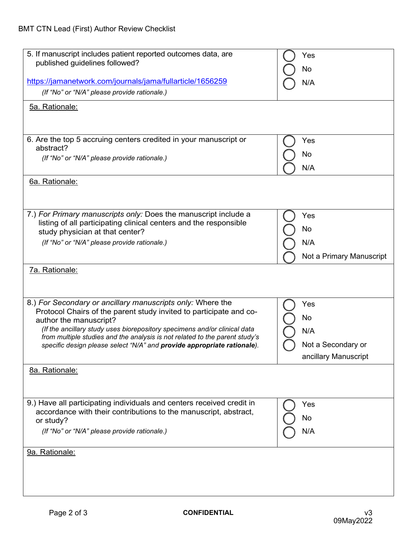| 5. If manuscript includes patient reported outcomes data, are               | Yes                      |
|-----------------------------------------------------------------------------|--------------------------|
| published guidelines followed?                                              |                          |
|                                                                             | No                       |
| https://jamanetwork.com/journals/jama/fullarticle/1656259                   | N/A                      |
|                                                                             |                          |
| (If "No" or "N/A" please provide rationale.)                                |                          |
| 5a. Rationale:                                                              |                          |
|                                                                             |                          |
|                                                                             |                          |
|                                                                             |                          |
| 6. Are the top 5 accruing centers credited in your manuscript or            | Yes                      |
| abstract?                                                                   |                          |
|                                                                             | No                       |
| (If "No" or "N/A" please provide rationale.)                                |                          |
|                                                                             | N/A                      |
| 6a. Rationale:                                                              |                          |
|                                                                             |                          |
|                                                                             |                          |
|                                                                             |                          |
| 7.) For Primary manuscripts only: Does the manuscript include a             |                          |
|                                                                             | Yes                      |
| listing of all participating clinical centers and the responsible           | No                       |
| study physician at that center?                                             |                          |
| (If "No" or "N/A" please provide rationale.)                                | N/A                      |
|                                                                             |                          |
|                                                                             | Not a Primary Manuscript |
| 7a. Rationale:                                                              |                          |
|                                                                             |                          |
|                                                                             |                          |
|                                                                             |                          |
| 8.) For Secondary or ancillary manuscripts only: Where the                  | Yes                      |
| Protocol Chairs of the parent study invited to participate and co-          |                          |
|                                                                             | No                       |
| author the manuscript?                                                      |                          |
| (If the ancillary study uses biorepository specimens and/or clinical data   | N/A                      |
| from multiple studies and the analysis is not related to the parent study's |                          |
| specific design please select "N/A" and provide appropriate rationale).     | Not a Secondary or       |
|                                                                             | ancillary Manuscript     |
|                                                                             |                          |
| 8a. Rationale:                                                              |                          |
|                                                                             |                          |
|                                                                             |                          |
|                                                                             |                          |
| 9.) Have all participating individuals and centers received credit in       | Yes                      |
| accordance with their contributions to the manuscript, abstract,            |                          |
| or study?                                                                   | No                       |
| (If "No" or "N/A" please provide rationale.)                                | N/A                      |
|                                                                             |                          |
|                                                                             |                          |
| 9a. Rationale:                                                              |                          |
|                                                                             |                          |
|                                                                             |                          |
|                                                                             |                          |
|                                                                             |                          |
|                                                                             |                          |